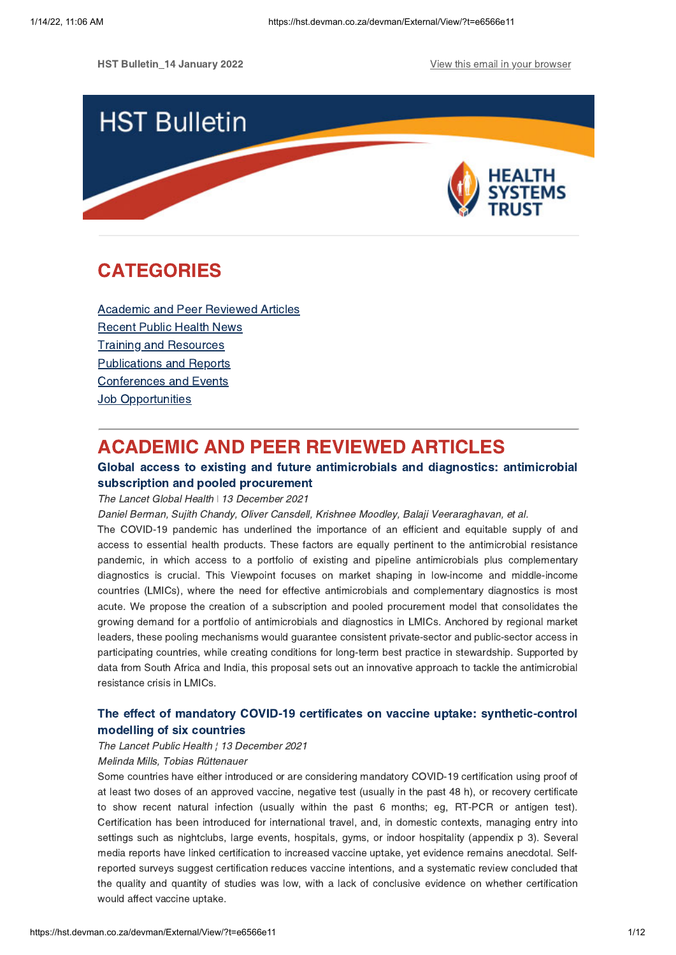**HST Bulletin 14 January 2022** View this email in your [browser](https://hst.devman.co.za/devman/external/?t=29267ca7&t1=e6566e11)



# **CATEGORIES** CATEGORIES<br>CATEGORIES<br>CATEGORIES

Academic and Peer [Reviewed](#page-0-0) Articles [Recent](#page-5-0) Public Health News Training and Resources [Publications](#page-9-0) and Reports [Conferences](#page-10-0) and Events **Job [Opportunities](#page-10-1)** 

# <span id="page-0-0"></span>**ACADEMIC AND PEER REVIEWED ARTICLES**

### Global access to existing and future antimicrobials and diagnostics: antimicrobial subscription and pooled procurement

# The Lancet Global Health **↓ 13 December 2021**

Daniel Berman, Sujith Chandy, Oliver Cansdell, Krishnee Moodley, Balaji Veeraraghavan, et al.

The COVID-19 pandemic has underlined the importance of an efficient and equitable supply of and access to essential health products. These factors are equally pertinent to the antimicrobial resistance pandemic, in which access to a portfolio of existing and pipeline antimicrobials plus complementary diagnostics is crucial. This Viewpoint focuses on market shaping in low-income and middle-income countries (LMICs), where the need for effective antimicrobials and complementary diagnostics is most acute. We propose the creation of a subscription and pooled procurement model that consolidates the growing demand for a portfolio of antimicrobials and diagnostics in LMICs. Anchored by regional market leaders, these pooling mechanisms would guarantee consistent private-sector and public-sector access in participating countries, while creating conditions for long-term best practice in stewardship. Supported by data from South Africa and India, this proposal sets out an innovative approach to tackle the antimicrobial resistance crisis in LMICs.

# The effect of mandatory COVID-19 certificates on vaccine uptake: [synthetic-control](https://hst.devman.co.za/devman/external/?t=313993e5)

# modelling of six countries<br>The Lancet Public Health ¦ 13 December 2021

#### Melinda Mills, Tobias Rüttenauer

Some countries have either introduced or are considering mandatory COVID-19 certification using proof of at least two doses of an approved vaccine, negative test (usually in the past 48 h), or recovery certificate to show recent natural infection (usually within the past 6 months; eg, RT-PCR or antigen test). Certification has been introduced for international travel, and, in domestic contexts, managing entry into settings such as nightclubs, large events, hospitals, gyms, or indoor hospitality (appendix p 3). Several media reports have linked certification to increased vaccine uptake, yet evidence remains anecdotal. Selfreported surveys suggest certification reduces vaccine intentions, and a systematic review concluded that the quality and quantity of studies was low, with a lack of conclusive evidence on whether certification would affect vaccine uptake.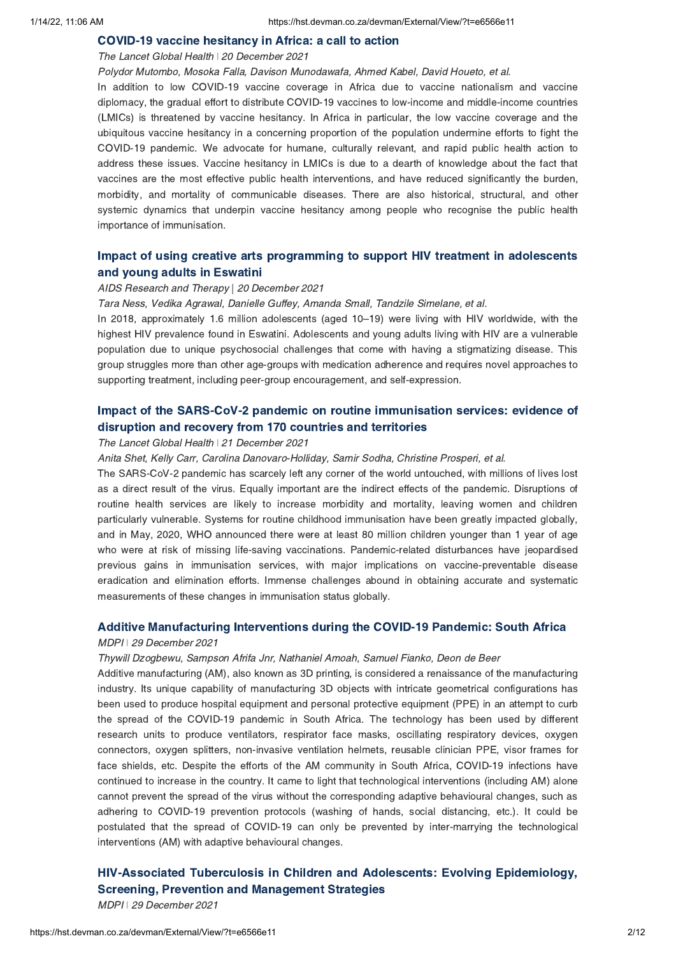# The Lancet Global Health 20 December 2021

Polydor Mutombo, Mosoka Falla, Davison Munodawafa, Ahmed Kabel, David Houeto, et al. In addition to low COVID-19 vaccine coverage in Africa due to vaccine nationalism and vaccine diplomacy, the gradual effort to distribute COVID-19 vaccines to low-income and middle-income countries (LMICs) is threatened by vaccine hesitancy. In Africa in particular, the low vaccine coverage and the ubiquitous vaccine hesitancy in a concerning proportion of the population undermine efforts to fight the COVID-19 pandemic. We advocate for humane, culturally relevant, and rapid public health action to address these issues. Vaccine hesitancy in LMICs is due to a dearth of knowledge about the fact that vaccines are the most effective public health interventions, and have reduced significantly the burden, morbidity, and mortality of communicable diseases. There are also historical, structural, and other systemic dynamics that underpin vaccine hesitancy among people who recognise the public health importance of immunisation.

# Impact of using creative arts [programming](https://hst.devman.co.za/devman/external/?t=6251122b) to support HIV treatment in adolescents and young adults in Eswatini

# and young<br>AIDS Research and Therapy | 20 December 2021

Tara Ness, Vedika Agrawal, Danielle Guffey, Amanda Small, Tandzile Simelane, et al.

In 2018, approximately 1.6 million adolescents (aged 10–19) were living with HIV worldwide, with the highest HIV prevalence found in Eswatini. Adolescents and young adults living with HIV are a vulnerable population due to unique psychosocial challenges that come with having a stigmatizing disease. This group struggles more than other age-groups with medication adherence and requires novel approaches to supporting treatment, including peer-group encouragement, and self-expression.

# Impact of the SARS-CoV-2 pandemic on routine [immunisation](https://hst.devman.co.za/devman/external/?t=bf4daac9) services: evidence of disruption and recovery from 170 countries and territories

# The Lancet Global Health | 21 December 2021

Anita Shet, Kelly Carr, Carolina Danovaro-Holliday, Samir Sodha, Christine Prosperi, et al.

The SARS-CoV-2 pandemic has scarcely left any corner of the world untouched, with millions of lives lost as a direct result of the virus. Equally important are the indirect effects of the pandemic. Disruptions of routine health services are likely to increase morbidity and mortality, leaving women and children particularly vulnerable. Systems for routine childhood immunisation have been greatly impacted globally, and in May, 2020, WHO announced there were at least 80 million children younger than 1 year of age who were at risk of missing life-saving vaccinations. Pandemic-related disturbances have jeopardised previous gains in immunisation services, with major implications on vaccine-preventable disease eradication and elimination efforts. Immense challenges abound in obtaining accurate and systematic measurements of these changes in immunisation status globally.

# Additive Manufacturing Interventions during the COVID-19 Pandemic: South Africa MDPI ǀ 29 December 2021

Thywill Dzogbewu, Sampson Afrifa Jnr, Nathaniel Amoah, Samuel Fianko, Deon de Beer

Additive manufacturing (AM), also known as 3D printing, is considered a renaissance of the manufacturing industry. Its unique capability of manufacturing 3D objects with intricate geometrical configurations has been used to produce hospital equipment and personal protective equipment (PPE) in an attempt to curb the spread of the COVID-19 pandemic in South Africa. The technology has been used by different research units to produce ventilators, respirator face masks, oscillating respiratory devices, oxygen connectors, oxygen splitters, non-invasive ventilation helmets, reusable clinician PPE, visor frames for face shields, etc. Despite the efforts of the AM community in South Africa, COVID-19 infections have continued to increase in the country. It came to light that technological interventions (including AM) alone cannot prevent the spread of the virus without the corresponding adaptive behavioural changes, such as adhering to COVID-19 prevention protocols (washing of hands, social distancing, etc.). It could be postulated that the spread of COVID-19 can only be prevented by inter-marrying the technological interventions (AM) with adaptive behavioural changes.

# [HIV-Associated](https://hst.devman.co.za/devman/external/?t=50b30007) Tuberculosis in Children and Adolescents: Evolving Epidemiology, Screening, Prevention and Management Strategies MDPI ǀ 29 December 2021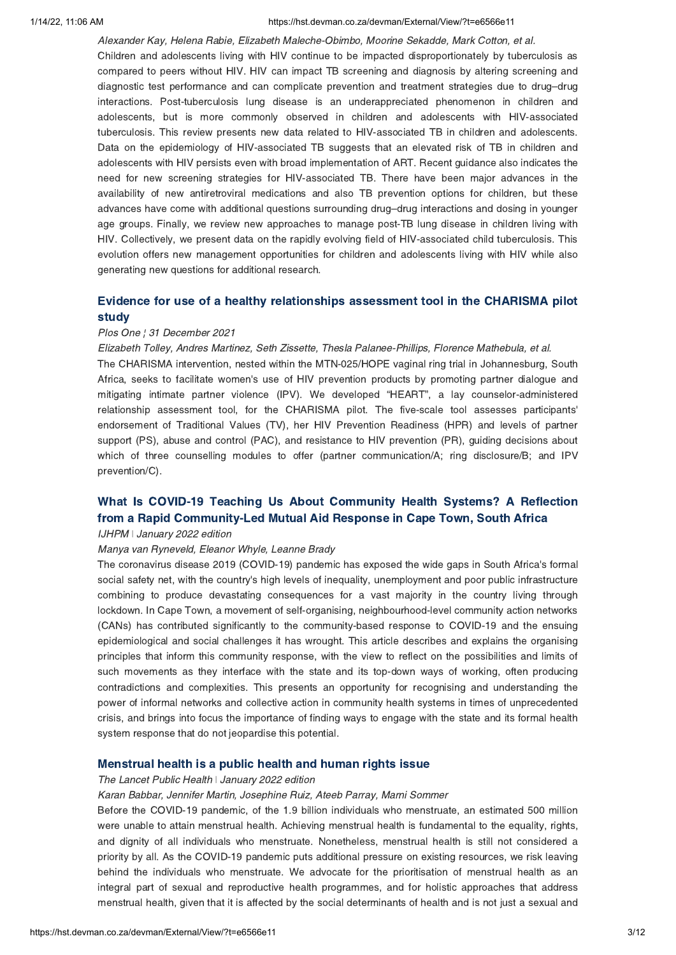#### 1/14/22, 11:06 AM https://hst.devman.co.za/devman/External/View/?t=e6566e11

Alexander Kay, Helena Rabie, Elizabeth Maleche-Obimbo, Moorine Sekadde, Mark Cotton, et al. Children and adolescents living with HIV continue to be impacted disproportionately by tuberculosis as compared to peers without HIV. HIV can impact TB screening and diagnosis by altering screening and diagnostic test performance and can complicate prevention and treatment strategies due to drug–drug interactions. Post-tuberculosis lung disease is an underappreciated phenomenon in children and adolescents, but is more commonly observed in children and adolescents with HIV-associated tuberculosis. This review presents new data related to HIV-associated TB in children and adolescents. Data on the epidemiology of HIV-associated TB suggests that an elevated risk of TB in children and adolescents with HIV persists even with broad implementation of ART. Recent guidance also indicates the need for new screening strategies for HIV-associated TB. There have been major advances in the availability of new antiretroviral medications and also TB prevention options for children, but these advances have come with additional questions surrounding drug–drug interactions and dosing in younger age groups. Finally, we review new approaches to manage post-TB lung disease in children living with HIV. Collectively, we present data on the rapidly evolving field of HIV-associated child tuberculosis. This evolution offers new management opportunities for children and adolescents living with HIV while also generating new questions for additional research.

# Evidence for use of a healthy [relationships](https://hst.devman.co.za/devman/external/?t=183204a6) assessment tool in the CHARISMA pilot

# Plos One ¦ 31 December 2021

Elizabeth Tolley, Andres Martinez, Seth Zissette, Thesla Palanee-Phillips, Florence Mathebula, et al.

The CHARISMA intervention, nested within the MTN-025/HOPE vaginal ring trial in Johannesburg, South Africa, seeks to facilitate women's use of HIV prevention products by promoting partner dialogue and mitigating intimate partner violence (IPV). We developed "HEART", a lay counselor-administered relationship assessment tool, for the CHARISMA pilot. The five-scale tool assesses participants' endorsement of Traditional Values (TV), her HIV Prevention Readiness (HPR) and levels of partner support (PS), abuse and control (PAC), and resistance to HIV prevention (PR), guiding decisions about which of three counselling modules to offer (partner communication/A; ring disclosure/B; and IPV prevention/C).

# What Is COVID-19 Teaching Us About [Community](https://hst.devman.co.za/devman/external/?t=dfc2fa4d) Health Systems? A Reflection from a Rapid Community-Led Mutual Aid Response in Cape Town, South Africa from a Rapid Community-Led Mutual Aid Response in Cape Town, South Africa IJHPM ǀ January 2022 edition

### Manya van Ryneveld, Eleanor Whyle, Leanne Brady

The coronavirus disease 2019 (COVID-19) pandemic has exposed the wide gaps in South Africa's formal social safety net, with the country's high levels of inequality, unemployment and poor public infrastructure combining to produce devastating consequences for a vast majority in the country living through lockdown. In Cape Town, a movement of self-organising, neighbourhood-level community action networks (CANs) has contributed significantly to the community-based response to COVID-19 and the ensuing epidemiological and social challenges it has wrought. This article describes and explains the organising principles that inform this community response, with the view to reflect on the possibilities and limits of such movements as they interface with the state and its top-down ways of working, often producing contradictions and complexities. This presents an opportunity for recognising and understanding the power of informal networks and collective action in community health systems in times of unprecedented crisis, and brings into focus the importance of finding ways to engage with the state and its formal health system response that do not jeopardise this potential.

# Mensed and health is a public field and human rights issues is a public health  $\frac{1}{2}$

#### Karan Babbar, Jennifer Martin, Josephine Ruiz, Ateeb Parray, Marni Sommer

Before the COVID-19 pandemic, of the 1.9 billion individuals who menstruate, an estimated 500 million were unable to attain menstrual health. Achieving menstrual health is fundamental to the equality, rights, and dignity of all individuals who menstruate. Nonetheless, menstrual health is still not considered a priority by all. As the COVID-19 pandemic puts additional pressure on existing resources, we risk leaving behind the individuals who menstruate. We advocate for the prioritisation of menstrual health as an integral part of sexual and reproductive health programmes, and for holistic approaches that address menstrual health, given that it is affected by the social determinants of health and is not just a sexual and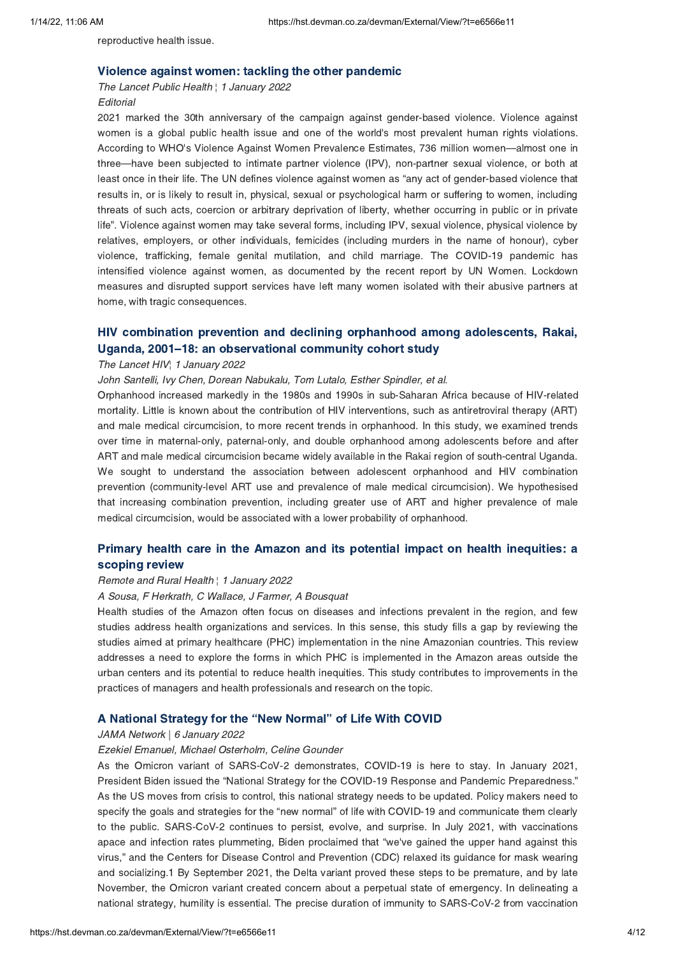reproductive health issue.

The Lancet Public Health | 1 January 2022 **Editorial** 

2021 marked the 30th anniversary of the campaign against gender-based violence. Violence against women is a global public health issue and one of the world's most prevalent human rights violations. According to WHO's Violence Against Women Prevalence Estimates, 736 million women—almost one in three—have been subjected to intimate partner violence (IPV), non-partner sexual violence, or both at least once in their life. The UN defines violence against women as "any act of gender-based violence that results in, or is likely to result in, physical, sexual or psychological harm or suffering to women, including threats of such acts, coercion or arbitrary deprivation of liberty, whether occurring in public or in private life". Violence against women may take several forms, including IPV, sexual violence, physical violence by relatives, employers, or other individuals, femicides (including murders in the name of honour), cyber violence, trafficking, female genital mutilation, and child marriage. The COVID-19 pandemic has intensified violence against women, as documented by the recent report by UN Women. Lockdown measures and disrupted support services have left many women isolated with their abusive partners at home, with tragic consequences.

# Uganda, 2001–18: an observational community cohort study<br>The Lancet HIV, 1 January 2022

### The Lancet HIV<sub>1</sub> 1 January 2022

John Santelli, Ivy Chen, Dorean Nabukalu, Tom Lutalo, Esther Spindler, et al.

Orphanhood increased markedly in the 1980s and 1990s in sub-Saharan Africa because of HIV-related mortality. Little is known about the contribution of HIV interventions, such as antiretroviral therapy (ART) and male medical circumcision, to more recent trends in orphanhood. In this study, we examined trends over time in maternal-only, paternal-only, and double orphanhood among adolescents before and after ART and male medical circumcision became widely available in the Rakai region of south-central Uganda. We sought to understand the association between adolescent orphanhood and HIV combination prevention (community-level ART use and prevalence of male medical circumcision). We hypothesised that increasing combination prevention, including greater use of ART and higher prevalence of male medical circumcision, would be associated with a lower probability of orphanhood.

# Primary health care in the Amazon and its potential impact on health [inequities:](https://hst.devman.co.za/devman/external/?t=69bed270) a

# scoping review Remote and Rural Health ¦ 1 January 2022

#### A Sousa, F Herkrath, C Wallace, J Farmer, A Bousquat

Health studies of the Amazon often focus on diseases and infections prevalent in the region, and few studies address health organizations and services. In this sense, this study fills a gap by reviewing the studies aimed at primary healthcare (PHC) implementation in the nine Amazonian countries. This review addresses a need to explore the forms in which PHC is implemented in the Amazon areas outside the urban centers and its potential to reduce health inequities. This study contributes to improvements in the practices of managers and health professionals and research on the topic.

### A National Strategy for the "New Normal["](https://hst.devman.co.za/devman/external/?t=8f46000e) of Life With COVID

#### JAMA Network | 6 January 2022

### Ezekiel Emanuel, Michael Osterholm, Celine Gounder

As the Omicron variant of SARS-CoV-2 demonstrates, COVID-19 is here to stay. In January 2021, President Biden issued the "National Strategy for the COVID-19 Response and Pandemic Preparedness." As the US moves from crisis to control, this national strategy needs to be updated. Policy makers need to specify the goals and strategies for the "new normal" of life with COVID-19 and communicate them clearly to the public. SARS-CoV-2 continues to persist, evolve, and surprise. In July 2021, with vaccinations apace and infection rates plummeting, Biden proclaimed that "we've gained the upper hand against this virus," and the Centers for Disease Control and Prevention (CDC) relaxed its guidance for mask wearing and socializing.1 By September 2021, the Delta variant proved these steps to be premature, and by late November, the Omicron variant created concern about a perpetual state of emergency. In delineating a national strategy, humility is essential. The precise duration of immunity to SARS-CoV-2 from vaccination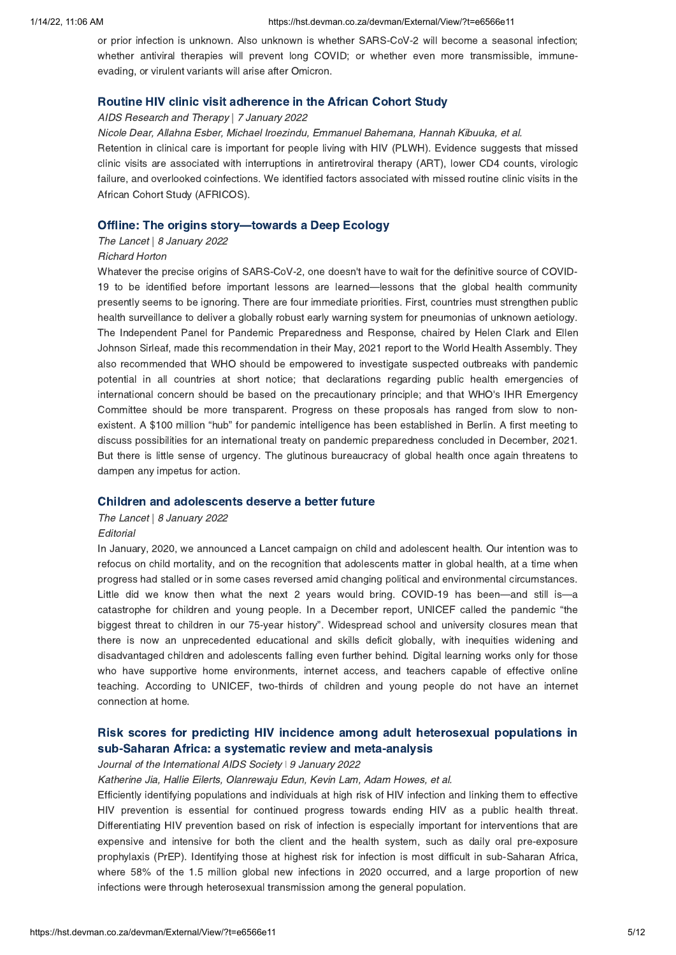or prior infection is unknown. Also unknown is whether SARS-CoV-2 will become a seasonal infection; whether antiviral therapies will prevent long COVID; or whether even more transmissible, immuneevading, or virulent variants will arise after Omicron.

Routine HIV clinic visit adherence in the African Cohort Study AIDS Research and Therapy | 7 January 2022

Nicole Dear, Allahna Esber, Michael Iroezindu, Emmanuel Bahemana, Hannah Kibuuka, et al.

Retention in clinical care is important for people living with HIV (PLWH). Evidence suggests that missed clinic visits are associated with interruptions in antiretroviral therapy (ART), lower CD4 counts, virologic failure, and overlooked coinfections. We identified factors associated with missed routine clinic visits in the African Cohort Study (AFRICOS).

#### Offline: The origins story[—](https://hst.devman.co.za/devman/external/?t=20ab554c)towards a Deep Ecology

### The Lancet | 8 January 2022

#### Richard Horton

Whatever the precise origins of SARS-CoV-2, one doesn't have to wait for the definitive source of COVID-19 to be identified before important lessons are learned—lessons that the global health community presently seems to be ignoring. There are four immediate priorities. First, countries must strengthen public health surveillance to deliver a globally robust early warning system for pneumonias of unknown aetiology. The Independent Panel for Pandemic Preparedness and Response, chaired by Helen Clark and Ellen Johnson Sirleaf, made this recommendation in their May, 2021 report to the World Health Assembly. They also recommended that WHO should be empowered to investigate suspected outbreaks with pandemic potential in all countries at short notice; that declarations regarding public health emergencies of international concern should be based on the precautionary principle; and that WHO's IHR Emergency Committee should be more transparent. Progress on these proposals has ranged from slow to nonexistent. A \$100 million "hub" for pandemic intelligence has been established in Berlin. A first meeting to discuss possibilities for an international treaty on pandemic preparedness concluded in December, 2021. But there is little sense of urgency. The glutinous bureaucracy of global health once again threatens to dampen any impetus for action.

# The Lancet | 8 January 2022

#### **Editorial**

In January, 2020, we announced a Lancet campaign on child and adolescent health. Our intention was to refocus on child mortality, and on the recognition that adolescents matter in global health, at a time when progress had stalled or in some cases reversed amid changing political and environmental circumstances. Little did we know then what the next 2 years would bring. COVID-19 has been—and still is—a catastrophe for children and young people. In a December report, UNICEF called the pandemic "the biggest threat to children in our 75-year history". Widespread school and university closures mean that there is now an unprecedented educational and skills deficit globally, with inequities widening and disadvantaged children and adolescents falling even further behind. Digital learning works only for those who have supportive home environments, internet access, and teachers capable of effective online teaching. According to UNICEF, two-thirds of children and young people do not have an internet connection at home.

# Risk scores for predicting HIV incidence among adult [heterosexual](https://hst.devman.co.za/devman/external/?t=afbb4f92) populations in

# sub-Saharan Africa: a systematic review and meta-analysis Journal of the International AIDS Society ǀ 9 January 2022

### Katherine Jia, Hallie Eilerts, Olanrewaju Edun, Kevin Lam, Adam Howes, et al.

Efficiently identifying populations and individuals at high risk of HIV infection and linking them to effective HIV prevention is essential for continued progress towards ending HIV as a public health threat. Differentiating HIV prevention based on risk of infection is especially important for interventions that are expensive and intensive for both the client and the health system, such as daily oral pre-exposure prophylaxis (PrEP). Identifying those at highest risk for infection is most difficult in sub-Saharan Africa, where 58% of the 1.5 million global new infections in 2020 occurred, and a large proportion of new infections were through heterosexual transmission among the general population.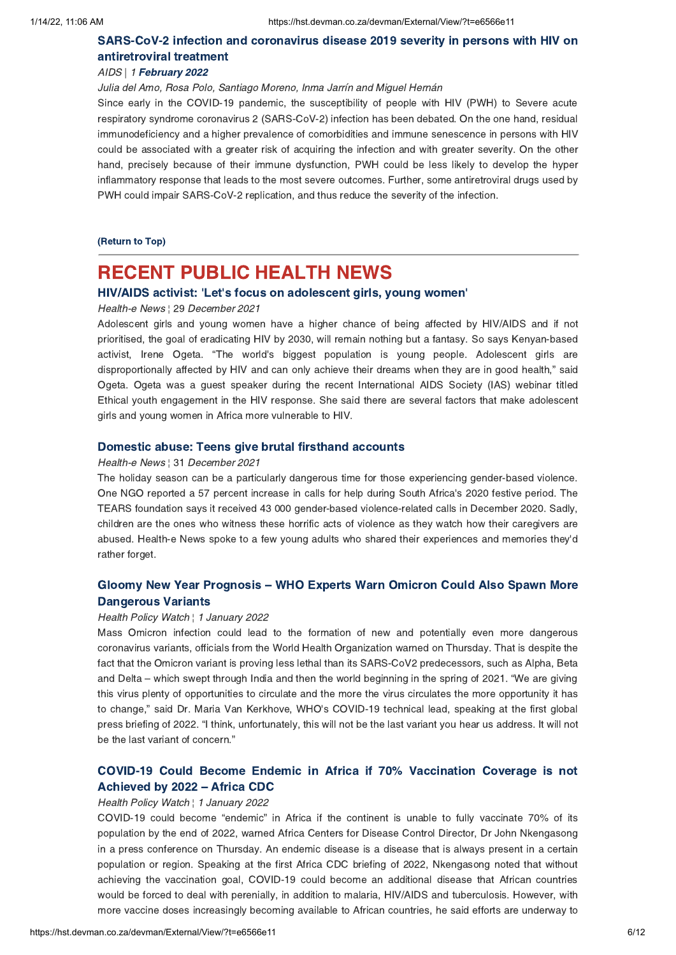# [SARS-CoV-2](https://hst.devman.co.za/devman/external/?t=8c9231) infection and coronavirus disease 2019 severity in persons with HIV on

# antiretroviral treatments and the method of the method of the method of the method of the method of the method of the method of the method of the method of the method of the method of the method of the method of the method

Julia del Amo, Rosa Polo, Santiago Moreno, Inma Jarrín and Miguel Hernán

Since early in the COVID-19 pandemic, the susceptibility of people with HIV (PWH) to Severe acute respiratory syndrome coronavirus 2 (SARS-CoV-2) infection has been debated. On the one hand, residual immunodeficiency and a higher prevalence of comorbidities and immune senescence in persons with HIV could be associated with a greater risk of acquiring the infection and with greater severity. On the other hand, precisely because of their immune dysfunction, PWH could be less likely to develop the hyper inflammatory response that leads to the most severe outcomes. Further, some antiretroviral drugs used by PWH could impair SARS-CoV-2 replication, and thus reduce the severity of the infection.

(Return to Top)

# <span id="page-5-0"></span>**RECENT PUBLIC HEALTH NEWS**

# HIV/AIDS activist: 'Let's focus on adolescent girls, young women'<br>Health-e News | 29 December 2021

#### Health-e News ¦ 29 December 2021

Adolescent girls and young women have a higher chance of being affected by HIV/AIDS and if not prioritised, the goal of eradicating HIV by 2030, will remain nothing but a fantasy. So says Kenyan-based activist, Irene Ogeta. "The world's biggest population is young people. Adolescent girls are disproportionally affected by HIV and can only achieve their dreams when they are in good health," said Ogeta. Ogeta was a guest speaker during the recent International AIDS Society (IAS) webinar titled Ethical youth engagement in the HIV response. She said there are several factors that make adolescent girls and young women in Africa more vulnerable to HIV.

# Health-e News ¦ 31 December 2021

The holiday season can be a particularly dangerous time for those experiencing gender-based violence. One NGO reported a 57 percent increase in calls for help during South Africa's 2020 festive period. The TEARS foundation says it received 43 000 gender-based violence-related calls in December 2020. Sadly, children are the ones who witness these horrific acts of violence as they watch how their caregivers are abused. Health-e News spoke to a few young adults who shared their experiences and memories they'd rather forget.

# Gloomy New Year [Prognosis](https://hst.devman.co.za/devman/external/?t=39b727b5) – WHO Experts Warn Omicron Could Also Spawn More

# Dangerous Variants Health Policy Watch ¦ 1 January 2022

Mass Omicron infection could lead to the formation of new and potentially even more dangerous coronavirus variants, officials from the World Health Organization warned on Thursday. That is despite the fact that the Omicron variant is proving less lethal than its SARS-CoV2 predecessors, such as Alpha, Beta and Delta – which swept through India and then the world beginning in the spring of 2021. "We are giving this virus plenty of opportunities to circulate and the more the virus circulates the more opportunity it has to change," said Dr. Maria Van Kerkhove, WHO's COVID-19 technical lead, speaking at the first global press briefing of 2022. "I think, unfortunately, this will not be the last variant you hear us address. It will not be the last variant of concern."

# Collieved by 2022 – Africa CDC<br>Achieved by 2022 – Africa CDC<br>Health Policy Watch | 1 January 2022

### Health Policy Watch ¦ 1 January 2022

COVID-19 could become "endemic" in Africa if the continent is unable to fully vaccinate 70% of its population by the end of 2022, warned Africa Centers for Disease Control Director, Dr John Nkengasong in a press conference on Thursday. An endemic disease is a disease that is always present in a certain population or region. Speaking at the first Africa CDC briefing of 2022, Nkengasong noted that without achieving the vaccination goal, COVID-19 could become an additional disease that African countries would be forced to deal with perenially, in addition to malaria, HIV/AIDS and tuberculosis. However, with more vaccine doses increasingly becoming available to African countries, he said efforts are underway to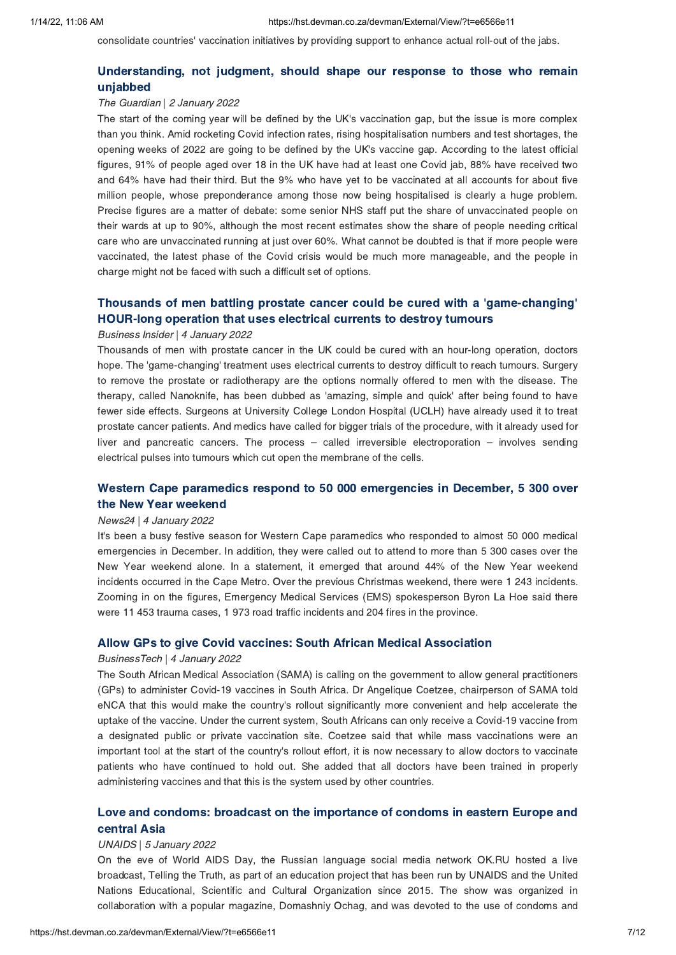consolidate countries' vaccination initiatives by providing support to enhance actual roll-out of the jabs.

# [Understanding,](https://hst.devman.co.za/devman/external/?t=aa7013ca) not judgment, should shape our response to these who remains<br>unjabbed

# magned by Denis<br>The Guardian | 2 January 2022

The start of the coming year will be defined by the UK's vaccination gap, but the issue is more complex than you think. Amid rocketing Covid infection rates, rising hospitalisation numbers and test shortages, the opening weeks of 2022 are going to be defined by the UK's vaccine gap. According to the latest official figures, 91% of people aged over 18 in the UK have had at least one Covid jab, 88% have received two and 64% have had their third. But the 9% who have yet to be vaccinated at all accounts for about five million people, whose preponderance among those now being hospitalised is clearly a huge problem. Precise figures are a matter of debate: some senior NHS staff put the share of unvaccinated people on their wards at up to 90%, although the most recent estimates show the share of people needing critical care who are unvaccinated running at just over 60%. What cannot be doubted is that if more people were vaccinated, the latest phase of the Covid crisis would be much more manageable, and the people in charge might not be faced with such a difficult set of options.

# Thousands of men battling prostate cancer could be cured with a ['game-changing'](https://hst.devman.co.za/devman/external/?t=eb042669)

# Business Insider | 4 January 2022

Thousands of men with prostate cancer in the UK could be cured with an hour-long operation, doctors hope. The 'game-changing' treatment uses electrical currents to destroy difficult to reach tumours. Surgery to remove the prostate or radiotherapy are the options normally offered to men with the disease. The therapy, called Nanoknife, has been dubbed as 'amazing, simple and quick' after being found to have fewer side effects. Surgeons at University College London Hospital (UCLH) have already used it to treat prostate cancer patients. And medics have called for bigger trials of the procedure, with it already used for liver and pancreatic cancers. The process – called irreversible electroporation – involves sending electrical pulses into tumours which cut open the membrane of the cells.

# Western Cape paramedics respond to 50 000 [emergencies](https://hst.devman.co.za/devman/external/?t=b2832b08) in December, 5 300 over

# news24 | 4 January 2022

It's been a busy festive season for Western Cape paramedics who responded to almost 50 000 medical emergencies in December. In addition, they were called out to attend to more than 5 300 cases over the New Year weekend alone. In a statement, it emerged that around 44% of the New Year weekend incidents occurred in the Cape Metro. Over the previous Christmas weekend, there were 1 243 incidents. Zooming in on the figures, Emergency Medical Services (EMS) spokesperson Byron La Hoe said there were 11 453 trauma cases, 1 973 road traffic incidents and 204 fires in the province.

# Allow GPs to give Covid vaccines: South African Medical Association BusinessTech | 4 January 2022

The South African Medical Association (SAMA) is calling on the government to allow general practitioners (GPs) to administer Covid-19 vaccines in South Africa. Dr Angelique Coetzee, chairperson of SAMA told eNCA that this would make the country's rollout significantly more convenient and help accelerate the uptake of the vaccine. Under the current system, South Africans can only receive a Covid-19 vaccine from a designated public or private vaccination site. Coetzee said that while mass vaccinations were an important tool at the start of the country's rollout effort, it is now necessary to allow doctors to vaccinate patients who have continued to hold out. She added that all doctors have been trained in properly administering vaccines and that this is the system used by other countries.

# Love and condoms: broadcast on the [importance](https://hst.devman.co.za/devman/external/?t=cae5634e) of condoms in eastern Europe and

# UNAIDS | 5 January 2022

On the eve of World AIDS Day, the Russian language social media network OK.RU hosted a live broadcast, Telling the Truth, as part of an education project that has been run by UNAIDS and the United Nations Educational, Scientific and Cultural Organization since 2015. The show was organized in collaboration with a popular magazine, Domashniy Ochag, and was devoted to the use of condoms and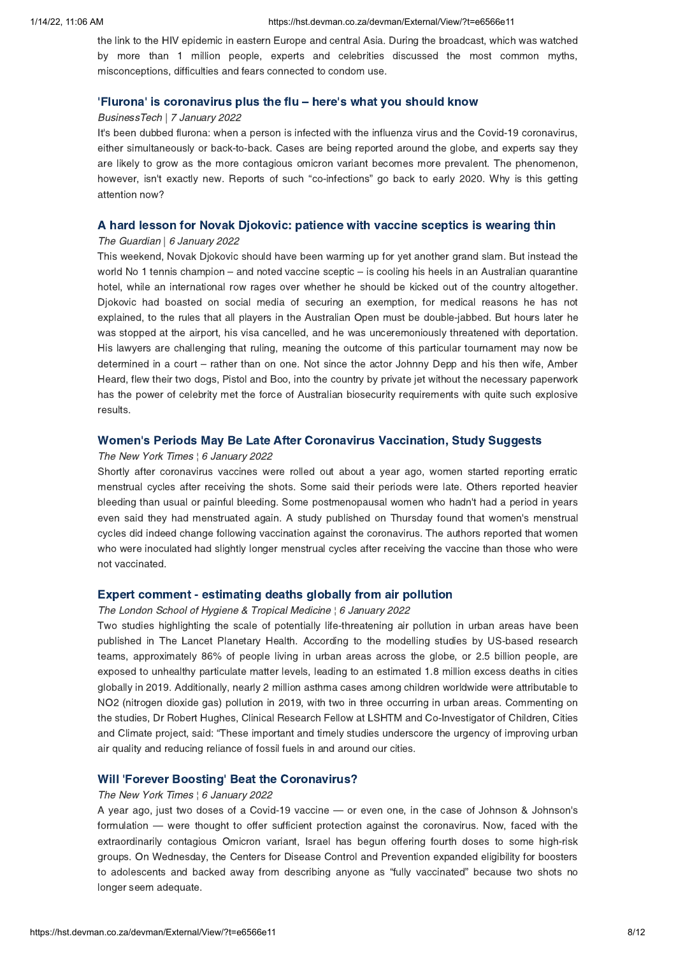the link to the HIV epidemic in eastern Europe and central Asia. During the broadcast, which was watched by more than 1 million people, experts and celebrities discussed the most common myths, misconceptions, difficulties and fears connected to condom use.

### ['](https://hst.devman.co.za/devman/external/?t=b7975ed)Flurona['](https://hst.devman.co.za/devman/external/?t=b7975ed) is coronavirus plus the flu – here's what you should know

### BusinessTech | 7 January 2022

It's been dubbed flurona: when a person is infected with the influenza virus and the Covid-19 coronavirus, either simultaneously or back-to-back. Cases are being reported around the globe, and experts say they are likely to grow as the more contagious omicron variant becomes more prevalent. The phenomenon, however, isn't exactly new. Reports of such "co-infections" go back to early 2020. Why is this getting attention now?

# A hard lesson for Novak Djokovic: patience with vaccine sceptics is wearing thin The Guardian | 6 January 2022

This weekend, Novak Djokovic should have been warming up for yet another grand slam. But instead the world No 1 tennis champion – and noted vaccine sceptic – is cooling his heels in an Australian quarantine hotel, while an international row rages over whether he should be kicked out of the country altogether. Djokovic had boasted on social media of securing an exemption, for medical reasons he has not explained, to the rules that all players in the Australian Open must be double-jabbed. But hours later he was stopped at the airport, his visa cancelled, and he was unceremoniously threatened with deportation. His lawyers are challenging that ruling, meaning the outcome of this particular tournament may now be determined in a court – rather than on one. Not since the actor Johnny Depp and his then wife, Amber Heard, flew their two dogs, Pistol and Boo, into the country by private jet without the necessary paperwork has the power of celebrity met the force of Australian biosecurity requirements with quite such explosive results.

### Women['](https://hst.devman.co.za/devman/external/?t=b33eb633)s Periods May Be Late After Coronavirus Vaccination, Study Suggests

#### The New York Times ¦ 6 January 2022

Shortly after coronavirus vaccines were rolled out about a year ago, women started reporting erratic menstrual cycles after receiving the shots. Some said their periods were late. Others reported heavier bleeding than usual or painful bleeding. Some postmenopausal women who hadn't had a period in years even said they had menstruated again. A study published on Thursday found that women's menstrual cycles did indeed change following vaccination against the coronavirus. The authors reported that women who were inoculated had slightly longer menstrual cycles after receiving the vaccine than those who were not vaccinated.

# Experimental deaths and all the settimating the comment of the London School of Hygiene & Tropical Medicine  $\frac{1}{2}$  Ganuary 2022

Two studies highlighting the scale of potentially life-threatening air pollution in urban areas have been published in The Lancet Planetary Health. According to the modelling studies by US-based research teams, approximately 86% of people living in urban areas across the globe, or 2.5 billion people, are exposed to unhealthy particulate matter levels, leading to an estimated 1.8 million excess deaths in cities globally in 2019. Additionally, nearly 2 million asthma cases among children worldwide were attributable to NO2 (nitrogen dioxide gas) pollution in 2019, with two in three occurring in urban areas. Commenting on the studies, Dr Robert Hughes, Clinical Research Fellow at LSHTM and Co-Investigator of Children, Cities and Climate project, said: "These important and timely studies underscore the urgency of improving urban air quality and reducing reliance of fossil fuels in and around our cities.

### Will ['](https://hst.devman.co.za/devman/external/?t=2103070)Forever Boosting' Beat the Coronavirus?

### The New York Times ¦ 6 January 2022

A year ago, just two doses of a Covid-19 vaccine — or even one, in the case of Johnson & Johnson's formulation — were thought to offer sufficient protection against the coronavirus. Now, faced with the extraordinarily contagious Omicron variant, Israel has begun offering fourth doses to some high-risk groups. On Wednesday, the Centers for Disease Control and Prevention expanded eligibility for boosters to adolescents and backed away from describing anyone as "fully vaccinated" because two shots no longer seem adequate.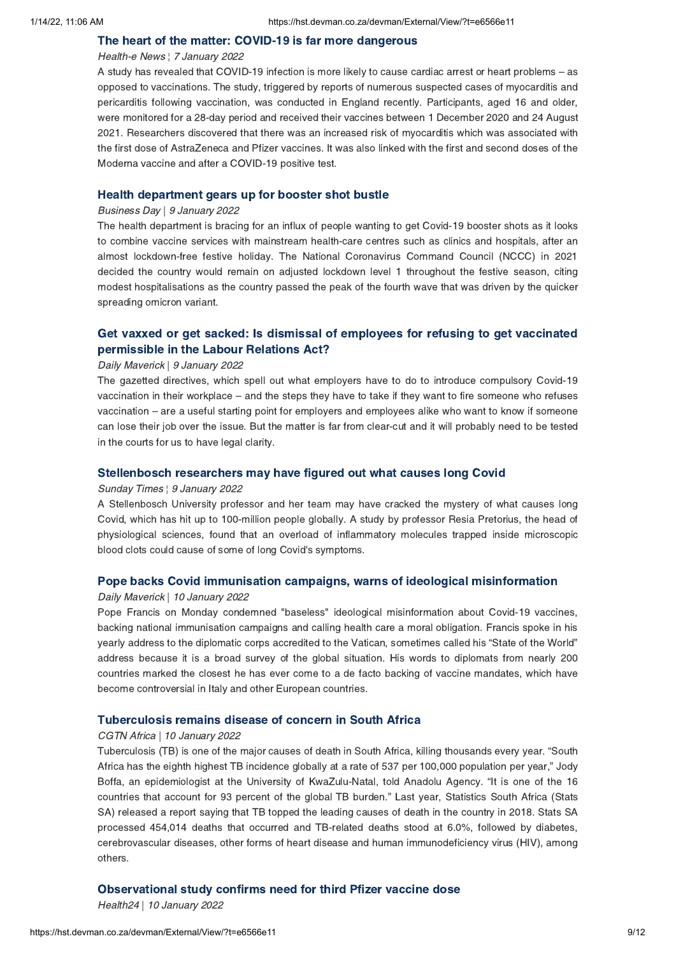# The heart of the matter: COVID-19 is far more dangerous Health-e News ¦ 7 January 2022

A study has revealed that COVID-19 infection is more likely to cause cardiac arrest or heart problems – as opposed to vaccinations. The study, triggered by reports of numerous suspected cases of myocarditis and pericarditis following vaccination, was conducted in England recently. Participants, aged 16 and older, were monitored for a 28-day period and received their vaccines between 1 December 2020 and 24 August 2021. Researchers discovered that there was an increased risk of myocarditis which was associated with the first dose of AstraZeneca and Pfizer vaccines. It was also linked with the first and second doses of the Moderna vaccine and after a COVID-19 positive test.

# Health department gears up for booster shot bustle Business Day | 9 January 2022

The health department is bracing for an influx of people wanting to get Covid-19 booster shots as it looks to combine vaccine services with mainstream health-care centres such as clinics and hospitals, after an almost lockdown-free festive holiday. The National Coronavirus Command Council (NCCC) in 2021 decided the country would remain on adjusted lockdown level 1 throughout the festive season, citing modest hospitalisations as the country passed the peak of the fourth wave that was driven by the quicker spreading omicron variant.

# Get vaxxed or get sacked: Is dismissal of employees for refusing to get [vaccinated](https://hst.devman.co.za/devman/external/?t=5af48a4d) permissible in the Labour Relations Act?

# permissions and the Labour Relations Actions Actions Actions Actions Actions Actions Actions Actions Actions A<br>Paily Maverick | 9 January 2022

The gazetted directives, which spell out what employers have to do to introduce compulsory Covid-19 vaccination in their workplace – and the steps they have to take if they want to fire someone who refuses vaccination – are a useful starting point for employers and employees alike who want to know if someone can lose their job over the issue. But the matter is far from clear-cut and it will probably need to be tested in the courts for us to have legal clarity.

# Sunday Times ¦ 9 January 2022

A Stellenbosch University professor and her team may have cracked the mystery of what causes long Covid, which has hit up to 100-million people globally. A study by professor Resia Pretorius, the head of physiological sciences, found that an overload of inflammatory molecules trapped inside microscopic blood clots could cause of some of long Covid's symptoms.

# Pope backs Covid immunisation campaigns, warns of ideological misinformation Daily Maverick | 10 January 2022

Pope Francis on Monday condemned "baseless" ideological misinformation about Covid-19 vaccines, backing national immunisation campaigns and calling health care a moral obligation. Francis spoke in his yearly address to the diplomatic corps accredited to the Vatican, sometimes called his "State of the World" address because it is a broad survey of the global situation. His words to diplomats from nearly 200 countries marked the closest he has ever come to a de facto backing of vaccine mandates, which have become controversial in Italy and other European countries.

# Tuberculosis remains disease of concern in South Africa<br>CGTN Africa | 10 January 2022

Tuberculosis (TB) is one of the major causes of death in South Africa, killing thousands every year. "South Africa has the eighth highest TB incidence globally at a rate of 537 per 100,000 population per year," Jody Boffa, an epidemiologist at the University of KwaZulu-Natal, told Anadolu Agency. "It is one of the 16 countries that account for 93 percent of the global TB burden." Last year, Statistics South Africa (Stats SA) released a report saying that TB topped the leading causes of death in the country in 2018. Stats SA processed 454,014 deaths that occurred and TB-related deaths stood at 6.0%, followed by diabetes, cerebrovascular diseases, other forms of heart disease and human immunodeficiency virus (HIV), among others.

Health24 | 10 January 2022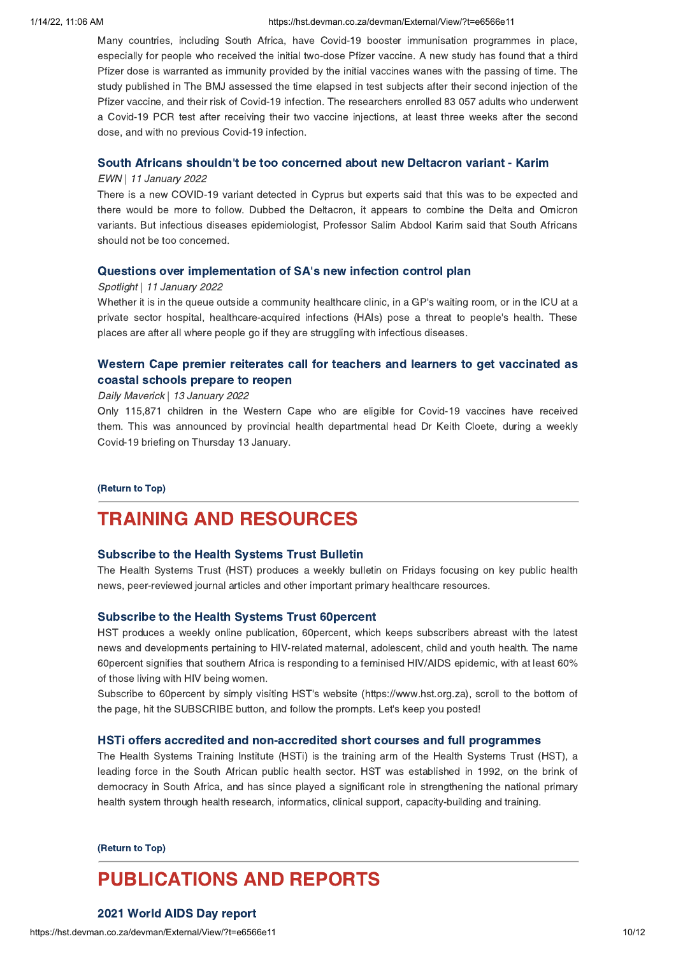#### 1/14/22, 11:06 AM https://hst.devman.co.za/devman/External/View/?t=e6566e11

Many countries, including South Africa, have Covid-19 booster immunisation programmes in place, especially for people who received the initial two-dose Pfizer vaccine. A new study has found that a third Pfizer dose is warranted as immunity provided by the initial vaccines wanes with the passing of time. The study published in The BMJ assessed the time elapsed in test subjects after their second injection of the Pfizer vaccine, and their risk of Covid-19 infection. The researchers enrolled 83 057 adults who underwent a Covid-19 PCR test after receiving their two vaccine injections, at least three weeks after the second dose, and with no previous Covid-19 infection.

### South Africans shouldn['](https://hst.devman.co.za/devman/external/?t=5bb01578)t be too concerned about new Deltacron variant - Karim

### EWN | 11 January 2022

There is a new COVID-19 variant detected in Cyprus but experts said that this was to be expected and there would be more to follow. Dubbed the Deltacron, it appears to combine the Delta and Omicron variants. But infectious diseases epidemiologist, Professor Salim Abdool Karim said that South Africans should not be too concerned.

### Questions over implementation of SA['](https://hst.devman.co.za/devman/external/?t=ac815817)s new infection control plan

#### Spotlight | 11 January 2022

Whether it is in the queue outside a community healthcare clinic, in a GP's waiting room, or in the ICU at a private sector hospital, healthcare-acquired infections (HAIs) pose a threat to people's health. These places are after all where people go if they are struggling with infectious diseases.

# Western Cape premier reiterates call for teachers and learners to get [vaccinated](https://hst.devman.co.za/devman/external/?t=97df0b5) as coastal schools prepare to reopen

# coastal schools prepare to reopen Daily Maverick | 13 January 2022

Only 115,871 children in the Western Cape who are eligible for Covid-19 vaccines have received them. This was announced by provincial health departmental head Dr Keith Cloete, during a weekly Covid-19 briefing on Thursday 13 January.

### (Return to Top)

# <span id="page-9-0"></span>**TRAINING AND RESOURCES**

### Subscribe to the Health Systems Trust Bulletin

The Health Systems Trust (HST) produces a weekly bulletin on Fridays focusing on key public health news, peer-reviewed journal articles and other important primary healthcare resources.

Subscribe to the Health Systems Trust 60percent HST produces a weekly online publication, 60percent, which keeps subscribers abreast with the latest news and developments pertaining to HIV-related maternal, adolescent, child and youth health. The name 60percent signifies that southern Africa is responding to a feminised HIV/AIDS epidemic, with at least 60% of those living with HIV being women.

Subscribe to 60percent by simply visiting HST's website (https://www.hst.org.za), scroll to the bottom of the page, hit the SUBSCRIBE button, and follow the prompts. Let's keep you posted!

The Health Systems Training Institute (HSTi) is the training arm of the Health Systems Trust (HST), a leading force in the South African public health sector. HST was established in 1992, on the brink of democracy in South Africa, and has since played a significant role in strengthening the national primary health system through health research, informatics, clinical support, capacity-building and training.

#### (Return to Top)

# **PUBLICATIONS AND REPORTS**

### 2021 World AIDS Day report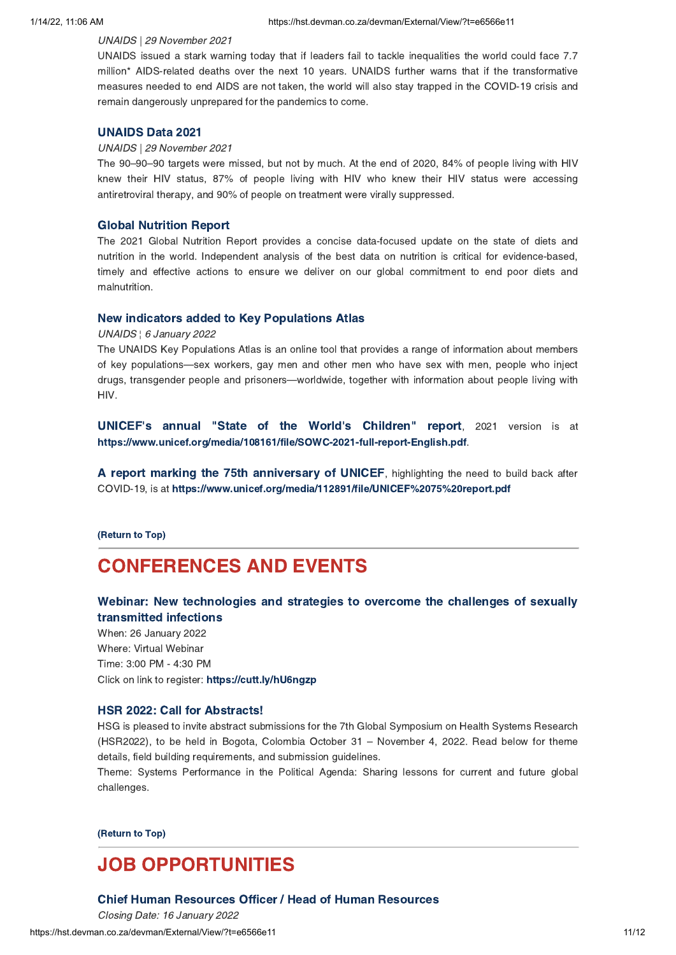### UNAIDS | 29 November 2021

UNAIDS issued a stark warning today that if leaders fail to tackle inequalities the world could face 7.7 million\* AIDS-related deaths over the next 10 years. UNAIDS further warns that if the transformative measures needed to end AIDS are not taken, the world will also stay trapped in the COVID-19 crisis and remain dangerously unprepared for the pandemics to come.

### **UNAIDS Data 2021**

# UNAIDS | 29 November 2021

The 90–90–90 targets were missed, but not by much. At the end of 2020, 84% of people living with HIV knew their HIV status, 87% of people living with HIV who knew their HIV status were accessing antiretroviral therapy, and 90% of people on treatment were virally suppressed.

Global Nutrition Report The 2021 Global Nutrition Report provides a concise data-focused update on the state of diets and nutrition in the world. Independent analysis of the best data on nutrition is critical for evidence-based, timely and effective actions to ensure we deliver on our global commitment to end poor diets and malnutrition.

UNAIDS | 6 January 2022

The UNAIDS Key Populations Atlas is an online tool that provides a range of information about members of key populations—sex workers, gay men and other men who have sex with men, people who inject drugs, transgender people and prisoners—worldwide, together with information about people living with HIV.

UNICEF's annual "State of the World['](https://hst.devman.co.za/devman/external/?t=82d79a16)s Children" report, <sup>2021</sup> version is at https://www.unicef.org/media/108161/file/SOWC-2021-full-report-English.pdf.

**A report marking the 75th [anniversary](https://hst.devman.co.za/devman/external/?t=b3ef185c) of UNICEF**, highlighting the need to build back after<br>COVID-19, is at https://www.unicef.org/media/112891/file/UNICEF%2075%20report.pdf https://www.unicef.org/media/112891/file/UNICEF%2075%20report.pdf

 $\overline{\phantom{a}}$ 

# <span id="page-10-0"></span>**CONFERENCES AND EVENTS**

### Webinar: New technologies and strategies to overcome the challenges of sexually transmitted infections

transmitted infections When: 26 January 2022 Where: Virtual Webinar Time: 3:00 PM - 4:30 PM Click on link to register: https://cutt.ly/hU6ngzp https://www.file.org/p

### HSR 2022: Call for Abstracts!

HSR 2022: Call for Abstracts! HSG is pleased to invite abstract submissions for the 7th Global Symposium on Health Systems Research (HSR2022), to be held in Bogota, Colombia October 31 – November 4, 2022. Read below for theme details, field building requirements, and submission guidelines.

Theme: Systems Performance in the Political Agenda: Sharing lessons for current and future global challenges.

 $\overline{\phantom{a}}$ 

# <span id="page-10-1"></span>**JOB OPPORTUNITIES**

### Chief Human Resources Officer / Head of Human Resources